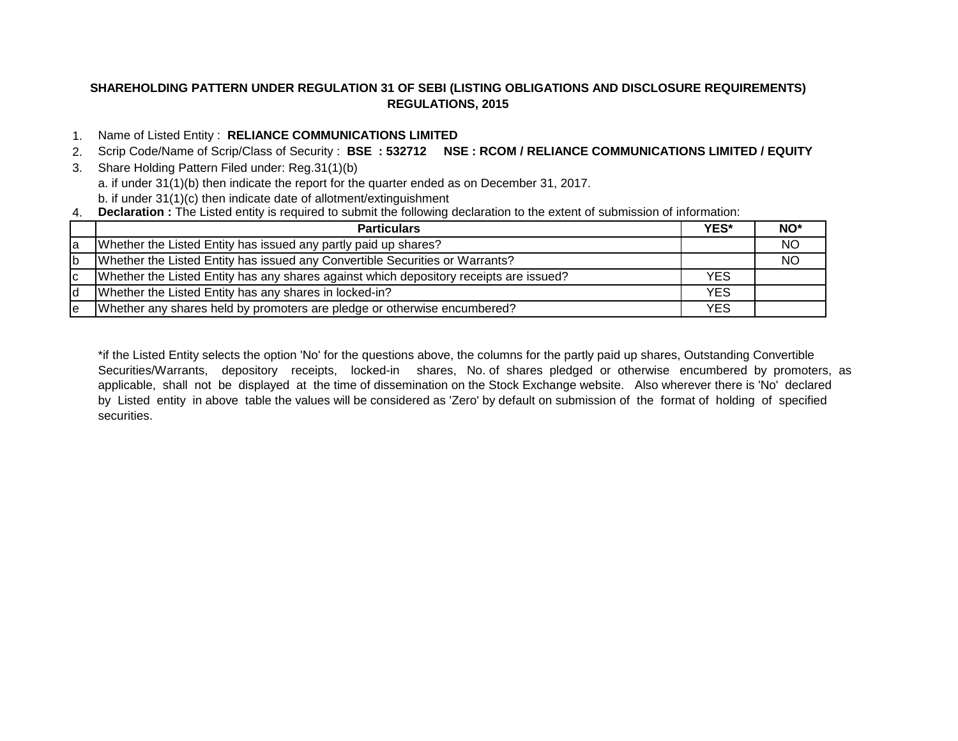# **SHAREHOLDING PATTERN UNDER REGULATION 31 OF SEBI (LISTING OBLIGATIONS AND DISCLOSURE REQUIREMENTS) REGULATIONS, 2015**

# 1. Name of Listed Entity : **RELIANCE COMMUNICATIONS LIMITED**

2. Scrip Code/Name of Scrip/Class of Security : **BSE : 532712 NSE : RCOM / RELIANCE COMMUNICATIONS LIMITED / EQUITY**

3. Share Holding Pattern Filed under: Reg.31(1)(b)

a. if under 31(1)(b) then indicate the report for the quarter ended as on December 31, 2017.

b. if under 31(1)(c) then indicate date of allotment/extinguishment

4. **Declaration :** The Listed entity is required to submit the following declaration to the extent of submission of information:

|     | <b>Particulars</b>                                                                     | <b>YES*</b> | NO <sup>*</sup> |
|-----|----------------------------------------------------------------------------------------|-------------|-----------------|
| la  | Whether the Listed Entity has issued any partly paid up shares?                        |             | <b>NO</b>       |
| Ib  | Whether the Listed Entity has issued any Convertible Securities or Warrants?           |             | <b>NO</b>       |
| lc. | Whether the Listed Entity has any shares against which depository receipts are issued? | <b>YES</b>  |                 |
| Id  | Whether the Listed Entity has any shares in locked-in?                                 | <b>YES</b>  |                 |
| le  | Whether any shares held by promoters are pledge or otherwise encumbered?               | <b>YES</b>  |                 |

\*if the Listed Entity selects the option 'No' for the questions above, the columns for the partly paid up shares, Outstanding Convertible Securities/Warrants, depository receipts, locked-in shares, No. of shares pledged or otherwise encumbered by promoters, as applicable, shall not be displayed at the time of dissemination on the Stock Exchange website. Also wherever there is 'No' declared by Listed entity in above table the values will be considered as 'Zero' by default on submission of the format of holding of specified securities.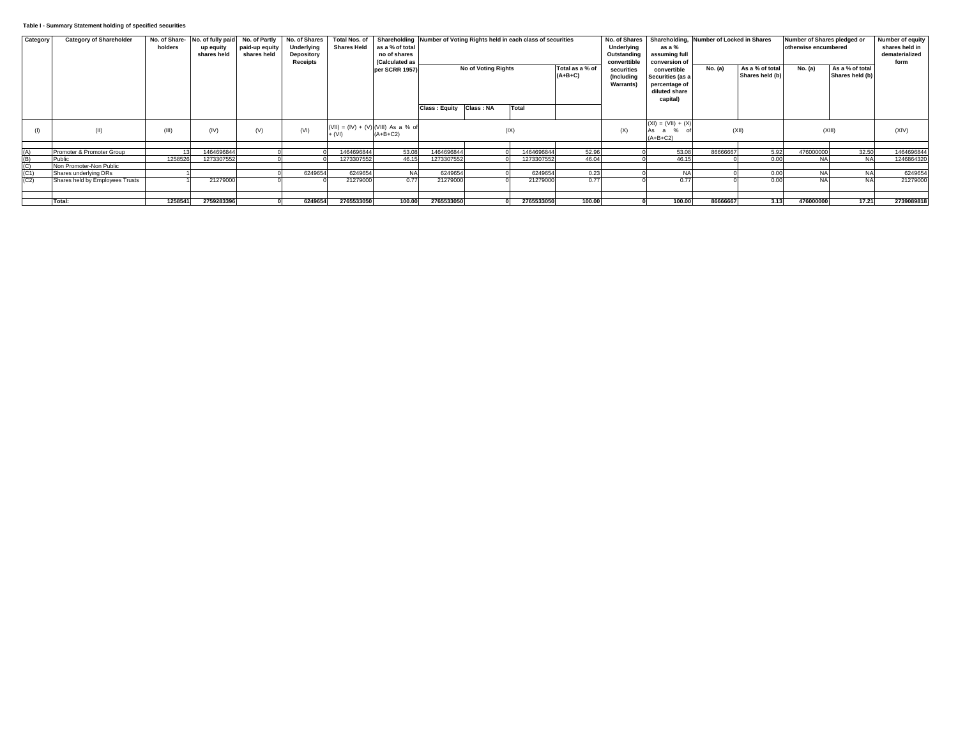### **Table I - Summary Statement holding of specified securities**

| Category                            | <b>Category of Shareholder</b>  |         | No. of Share- No. of fully paid No. of Partly |                | No. of Shares |                                       |                             |                      |                     | Total Nos. of Shareholding Number of Voting Rights held in each class of securities |                 |                  |                      | No. of Shares Shareholding, Number of Locked in Shares |                 | Number of Shares pledged or | Number of equity |                |
|-------------------------------------|---------------------------------|---------|-----------------------------------------------|----------------|---------------|---------------------------------------|-----------------------------|----------------------|---------------------|-------------------------------------------------------------------------------------|-----------------|------------------|----------------------|--------------------------------------------------------|-----------------|-----------------------------|------------------|----------------|
|                                     |                                 | holders | up equity                                     | paid-up equity | Underlying    |                                       | Shares Held as a % of total |                      |                     |                                                                                     |                 | Underlying       | as a %               |                                                        |                 | otherwise encumbered        |                  | shares held in |
|                                     |                                 |         | shares held                                   | shares held    | Depository    |                                       | no of shares                |                      |                     |                                                                                     |                 | Outstanding      | assuming full        |                                                        |                 |                             |                  | dematerialized |
|                                     |                                 |         |                                               |                | Receipts      |                                       | (Calculated as              |                      |                     |                                                                                     |                 | converttible     | conversion of        |                                                        |                 |                             |                  | form           |
|                                     |                                 |         |                                               |                |               |                                       | per SCRR 1957)              |                      | No of Voting Rights |                                                                                     | Total as a % of | securities       | convertible          | No. (a)                                                | As a % of total | No. (a)                     | As a % of total  |                |
|                                     |                                 |         |                                               |                |               |                                       |                             |                      |                     |                                                                                     | $(A+B+C)$       |                  |                      |                                                        | Shares held (b) |                             | Shares held (b)  |                |
|                                     |                                 |         |                                               |                |               |                                       |                             |                      |                     |                                                                                     |                 | (Including       | Securities (as a     |                                                        |                 |                             |                  |                |
|                                     |                                 |         |                                               |                |               |                                       |                             |                      |                     |                                                                                     |                 | <b>Warrants)</b> | percentage of        |                                                        |                 |                             |                  |                |
|                                     |                                 |         |                                               |                |               |                                       |                             |                      |                     |                                                                                     |                 |                  | diluted share        |                                                        |                 |                             |                  |                |
|                                     |                                 |         |                                               |                |               |                                       |                             |                      |                     |                                                                                     |                 |                  | capital)             |                                                        |                 |                             |                  |                |
|                                     |                                 |         |                                               |                |               |                                       |                             | <b>Class: Equity</b> | Class: NA           | Total                                                                               |                 |                  |                      |                                                        |                 |                             |                  |                |
|                                     |                                 |         |                                               |                |               |                                       |                             |                      |                     |                                                                                     |                 |                  |                      |                                                        |                 |                             |                  |                |
|                                     |                                 |         |                                               |                |               |                                       |                             |                      |                     |                                                                                     |                 |                  | $(XI) = (VII) + (X)$ |                                                        |                 |                             |                  |                |
|                                     | (II)                            | (III)   | (IV)                                          | (V)            | (VI)          | (VII) = $(IV) + (V)$ (VIII) As a % of |                             |                      |                     | (IX)                                                                                |                 | (X)              | As a                 |                                                        | (XII)           |                             | (XIII)           | (XIV)          |
|                                     |                                 |         |                                               |                |               | $+ (VI)$                              | $(A+B+C2)$                  |                      |                     |                                                                                     |                 |                  | $(A+B+C2)$           |                                                        |                 |                             |                  |                |
|                                     |                                 |         |                                               |                |               |                                       |                             |                      |                     |                                                                                     |                 |                  |                      |                                                        |                 |                             |                  |                |
|                                     | Promoter & Promoter Group       |         | 1464696844                                    |                |               | 1464696844                            | 53.08                       | 1464696844           |                     | 1464696844                                                                          | 52.96           |                  | 53.08                | 86666667                                               | 5.92            |                             | 32.50            |                |
|                                     |                                 |         |                                               |                |               |                                       |                             |                      |                     |                                                                                     |                 |                  |                      |                                                        |                 | 476000000                   |                  | 1464696844     |
|                                     | Public                          | 1258526 | 1273307552                                    |                |               | 1273307552                            | 46.15                       | 1273307552           |                     | 1273307552                                                                          | 46.04           |                  | 46.15                |                                                        | 0.00            | <b>NA</b>                   | <b>NA</b>        | 1246864320     |
|                                     | Non Promoter-Non Public         |         |                                               |                |               |                                       |                             |                      |                     |                                                                                     |                 |                  |                      |                                                        |                 |                             |                  |                |
| $(A)$<br>(B)<br>(C)<br>(C1)<br>(C2) | Shares underlying DRs           |         |                                               |                | 6249654       | 6249654                               | <b>NA</b>                   | 6249654              |                     | 6249654                                                                             | 0.23            |                  |                      |                                                        | 0.00            | <b>NA</b>                   | <b>NA</b>        | 6249654        |
|                                     | Shares held by Employees Trusts |         | 21279000                                      |                |               | 21279000                              | 0.77                        | 21279000             |                     | 21279000                                                                            | 0.77            |                  | 0.77                 |                                                        | 0.00            | <b>NA</b>                   |                  | 21279000       |
|                                     |                                 |         |                                               |                |               |                                       |                             |                      |                     |                                                                                     |                 |                  |                      |                                                        |                 |                             |                  |                |
|                                     |                                 |         |                                               |                |               |                                       |                             |                      |                     |                                                                                     |                 |                  |                      |                                                        |                 |                             |                  |                |
|                                     | Total:                          | 1258541 | 2759283396                                    |                | 6249654       | 2765533050                            | 100.00                      | 2765533050           |                     | 2765533050                                                                          | 100.00          |                  | 100.00               | 86666667                                               | 3.13            | 476000000                   | 17.21            | 2739089818     |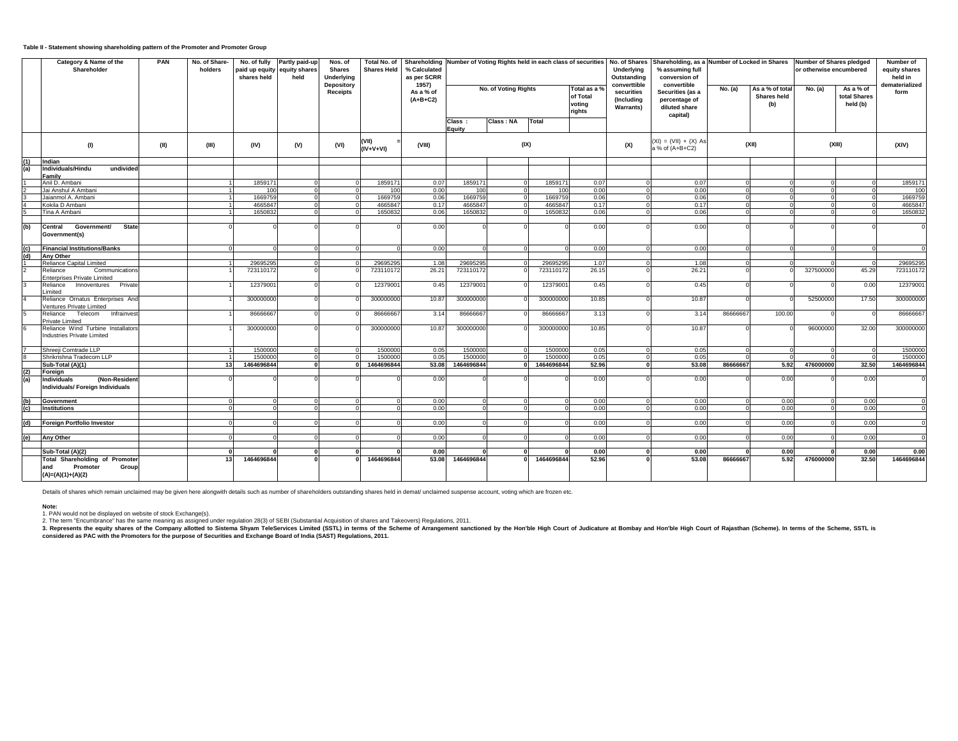## **Table II - Statement showing shareholding pattern of the Promoter and Promoter Group**

|               | Category & Name of the<br>Shareholder                                       | PAN  | No. of Share-<br>holders | No. of fully<br>paid up equity<br>shares held | Partly paid-up<br>equity shares<br>held | Nos. of<br><b>Shares</b><br>Underlying | Total No. of<br><b>Shares Held</b> | Shareholding Number of Voting Rights held in each class of securities<br>% Calculated<br>as per SCRR |                  |                      |            |                                            | No. of Shares<br>Underlying<br>Outstanding                    | Shareholding, as a Number of Locked in Shares Number of Shares pledged<br>% assuming full<br>conversion of |          |                                       | or otherwise encumbered |                                       | Number of<br>equity shares<br>held in |
|---------------|-----------------------------------------------------------------------------|------|--------------------------|-----------------------------------------------|-----------------------------------------|----------------------------------------|------------------------------------|------------------------------------------------------------------------------------------------------|------------------|----------------------|------------|--------------------------------------------|---------------------------------------------------------------|------------------------------------------------------------------------------------------------------------|----------|---------------------------------------|-------------------------|---------------------------------------|---------------------------------------|
|               |                                                                             |      |                          |                                               |                                         | Depository<br><b>Receipts</b>          |                                    | 1957)<br>As a % of<br>$(A+B+C2)$                                                                     |                  | No. of Voting Rights |            | Total as a<br>of Total<br>voting<br>rights | converttible<br>securities<br>(Including<br><b>Warrants</b> ) | convertible<br>Securities (as a<br>percentage of<br>diluted share<br>capital)                              | No. (a)  | As a % of total<br>Shares held<br>(b) | No. (a)                 | As a % of<br>total Shares<br>held (b) | dematerialized<br>form                |
|               |                                                                             |      |                          |                                               |                                         |                                        |                                    |                                                                                                      | Class:<br>Equity | Class: NA            | Total      |                                            |                                                               |                                                                                                            |          |                                       |                         |                                       |                                       |
|               | (1)                                                                         | (II) | (III)                    | (IV)                                          | (V)                                     | (VI)                                   | (VII)<br>$(IV+V+VI)$               | (VIII)                                                                                               |                  | (IX)                 |            |                                            | (X)                                                           | $(XI) = (VII) + (X) As$<br>a % of (A+B+C2)                                                                 |          | (XII)                                 |                         | (XIII)                                | (XIV)                                 |
| (1)           | Indian                                                                      |      |                          |                                               |                                         |                                        |                                    |                                                                                                      |                  |                      |            |                                            |                                                               |                                                                                                            |          |                                       |                         |                                       |                                       |
| (a)           | Individuals/Hindu<br>undivided<br>Family                                    |      |                          |                                               |                                         |                                        |                                    |                                                                                                      |                  |                      |            |                                            |                                                               |                                                                                                            |          |                                       |                         |                                       |                                       |
|               | Anil D. Ambani                                                              |      |                          | 1859171                                       |                                         |                                        | 1859171                            | 0.07                                                                                                 | 185917           |                      | 1859171    | 0.07                                       |                                                               | 0.07                                                                                                       |          |                                       |                         |                                       | 1859171                               |
|               | Jai Anshul A Ambani                                                         |      |                          | 100                                           |                                         |                                        | 100                                | 0.00                                                                                                 | 100              |                      | 100        | 0.00                                       |                                                               | 0.00                                                                                                       |          |                                       |                         |                                       | 100                                   |
|               | Jaianmol A. Ambani                                                          |      |                          | 1669759                                       |                                         |                                        | 1669759                            | 0.06                                                                                                 | 1669759          |                      | 1669759    | 0.06                                       |                                                               | 0.06                                                                                                       |          |                                       |                         |                                       | 1669759                               |
|               | Kokila D Ambani                                                             |      |                          | 4665847                                       |                                         |                                        | 466584                             | 0.17                                                                                                 | 466584           |                      | 4665847    | 0.17                                       |                                                               | 0.17                                                                                                       |          |                                       |                         |                                       | 4665847                               |
|               | Tina A Ambani                                                               |      |                          | 1650832                                       |                                         |                                        | 1650832                            | 0.06                                                                                                 | 1650832          |                      | 1650832    | 0.06                                       |                                                               | 0.06                                                                                                       | $\Omega$ |                                       |                         |                                       | 1650832                               |
|               |                                                                             |      |                          |                                               |                                         |                                        |                                    |                                                                                                      |                  |                      |            |                                            |                                                               |                                                                                                            |          |                                       |                         |                                       |                                       |
| (d)           | <b>State</b><br><b>Central</b><br>Government/<br>Government(s)              |      |                          |                                               |                                         |                                        |                                    | 0.00                                                                                                 |                  |                      |            | 0.00                                       |                                                               | 0.00                                                                                                       |          |                                       |                         |                                       |                                       |
| (c)           | <b>Financial Institutions/Banks</b>                                         |      |                          |                                               |                                         |                                        |                                    | 0.00                                                                                                 |                  |                      |            | 0.00                                       |                                                               | 0.00                                                                                                       |          |                                       |                         |                                       | $\Omega$                              |
| (d)           | <b>Any Other</b>                                                            |      |                          |                                               |                                         |                                        |                                    |                                                                                                      |                  |                      |            |                                            |                                                               |                                                                                                            |          |                                       |                         |                                       |                                       |
|               | Reliance Capital Limited                                                    |      |                          | 29695295                                      |                                         |                                        | 2969529                            | 1.08                                                                                                 | 2969529          |                      | 29695295   | 1.07                                       |                                                               | 1.08                                                                                                       | $\Omega$ |                                       |                         | $\Omega$                              | 29695295                              |
|               | Reliance<br>Communications<br>Enterprises Private Limited                   |      |                          | 723110172                                     |                                         |                                        | 723110172                          | 26.21                                                                                                | 723110172        |                      | 723110172  | 26.15                                      |                                                               | 26.21                                                                                                      |          |                                       | 327500000               | 45.29                                 | 723110172                             |
|               | Innoventures Private<br>Reliance<br>Limited                                 |      |                          | 12379001                                      |                                         |                                        | 12379001                           | 0.45                                                                                                 | 1237900          |                      | 12379001   | 0.45                                       |                                                               | 0.45                                                                                                       |          |                                       |                         | 0.00                                  | 12379001                              |
|               | Reliance Ornatus Enterprises And<br>Ventures Private Limited                |      |                          | 300000000                                     |                                         |                                        | 300000000                          | 10.87                                                                                                | 300000000        |                      | 300000000  | 10.85                                      |                                                               | 10.87                                                                                                      |          |                                       | 52500000                | 17.50                                 | 300000000                             |
|               | Telecom<br>Infrainvest<br>Reliance<br>Private Limited                       |      |                          | 86666667                                      |                                         |                                        | 8666666                            | 3.14                                                                                                 | 8666666          |                      | 86666667   | 3.13                                       |                                                               | 3.14                                                                                                       | 8666666  | 100.00                                |                         |                                       | 86666667                              |
|               | Reliance Wind Turbine Installators<br>Industries Private Limited            |      |                          | 300000000                                     |                                         |                                        | 300000000                          | 10.87                                                                                                | 300000000        |                      | 300000000  | 10.85                                      |                                                               | 10.87                                                                                                      |          |                                       | 96000000                | 32.00                                 | 300000000                             |
|               |                                                                             |      |                          |                                               |                                         |                                        |                                    |                                                                                                      |                  |                      |            |                                            |                                                               |                                                                                                            |          |                                       |                         |                                       |                                       |
|               | Shreeji Comtrade LLP                                                        |      |                          | 1500000                                       |                                         |                                        | 1500000                            | 0.05                                                                                                 | 1500000          |                      | 1500000    | 0.05                                       |                                                               | 0.05                                                                                                       |          |                                       |                         |                                       | 1500000                               |
|               | Shrikrishna Tradecom LLP                                                    |      |                          | 1500000                                       |                                         |                                        | 150000                             | 0.05                                                                                                 | 150000           |                      | 1500000    | 0.05                                       |                                                               | 0.05                                                                                                       |          |                                       |                         |                                       | 1500000                               |
|               | Sub-Total (A)(1)                                                            |      | 13                       | 1464696844                                    |                                         | $\Omega$                               | 1464696844                         | 53.08                                                                                                | 1464696844       | $\mathbf{r}$         | 1464696844 | 52.96                                      |                                                               | 53.08                                                                                                      | 86666667 | 5.92                                  | 476000000               | 32.50                                 | 1464696844                            |
| (2)<br>(a)    | Foreign<br>(Non-Resident<br>Individuals<br>Individuals/ Foreign Individuals |      |                          |                                               |                                         |                                        |                                    | 0.00                                                                                                 |                  |                      |            | 0.00                                       |                                                               | 0.00                                                                                                       |          | 0.00                                  |                         | 0.00                                  |                                       |
|               |                                                                             |      |                          |                                               |                                         |                                        |                                    |                                                                                                      |                  |                      |            |                                            |                                                               |                                                                                                            |          |                                       |                         |                                       |                                       |
| (b)           | Government                                                                  |      |                          |                                               |                                         |                                        |                                    | 0.00                                                                                                 | $\Omega$         |                      |            | 0.00                                       |                                                               | 0.00                                                                                                       |          | 0.00                                  |                         | 0.00                                  | $\Omega$                              |
| $\mathbf{c})$ | <b>Institutions</b>                                                         |      |                          |                                               |                                         |                                        |                                    | 0.00                                                                                                 |                  |                      |            | 0.00                                       |                                                               | 0.00                                                                                                       |          | 0.00                                  |                         | 0.00                                  |                                       |
|               |                                                                             |      |                          |                                               |                                         |                                        |                                    |                                                                                                      |                  |                      |            |                                            |                                                               |                                                                                                            |          |                                       |                         |                                       |                                       |
| (b)           | <b>Foreign Portfolio Investor</b>                                           |      |                          |                                               |                                         |                                        |                                    | 0.00                                                                                                 |                  |                      |            | 0.00                                       |                                                               | 0.00                                                                                                       |          | 0.00                                  |                         | 0.00                                  |                                       |
|               |                                                                             |      |                          |                                               |                                         |                                        |                                    |                                                                                                      |                  |                      |            |                                            |                                                               |                                                                                                            |          |                                       |                         |                                       |                                       |
| (e)           | Any Other                                                                   |      |                          |                                               |                                         |                                        |                                    | 0.00                                                                                                 |                  |                      |            | 0.00                                       |                                                               | 0.00                                                                                                       |          | 0.00                                  |                         | 0.00                                  |                                       |
|               | Sub-Total (A)(2)                                                            |      |                          |                                               |                                         |                                        |                                    | 0.00                                                                                                 |                  |                      |            | 0.00                                       |                                                               | 0.00                                                                                                       |          | 0.00                                  |                         | 0.00                                  | 0.00                                  |
|               | <b>Total Shareholding of Promoter</b>                                       |      |                          | 1464696844                                    |                                         |                                        | 1464696844                         | 53.08                                                                                                | 1464696844       |                      | 1464696844 | 52.96                                      |                                                               | 53.08                                                                                                      | 8666666  | 5.92                                  | 476000000               | 32.50                                 | 1464696844                            |
|               | and<br>Promoter<br>Group<br>$(A)=(A)(1)+(A)(2)$                             |      |                          |                                               |                                         |                                        |                                    |                                                                                                      |                  |                      |            |                                            |                                                               |                                                                                                            |          |                                       |                         |                                       |                                       |

Details of shares which remain unclaimed may be given here alongwith details such as number of shareholders outstanding shares held in demat/ unclaimed suspense account, voting which are frozen etc.

**Note:** 1. PAN would not be displayed on website of stock Exchange(s).

2. The term "Encumbrance" has the same meaning as assigned under regulation 28(3) of SEBI (Substantial Acquisition of shares and Takeovers) Regulations, 2011.<br>3. Represents the equity shares of the Propend of the Company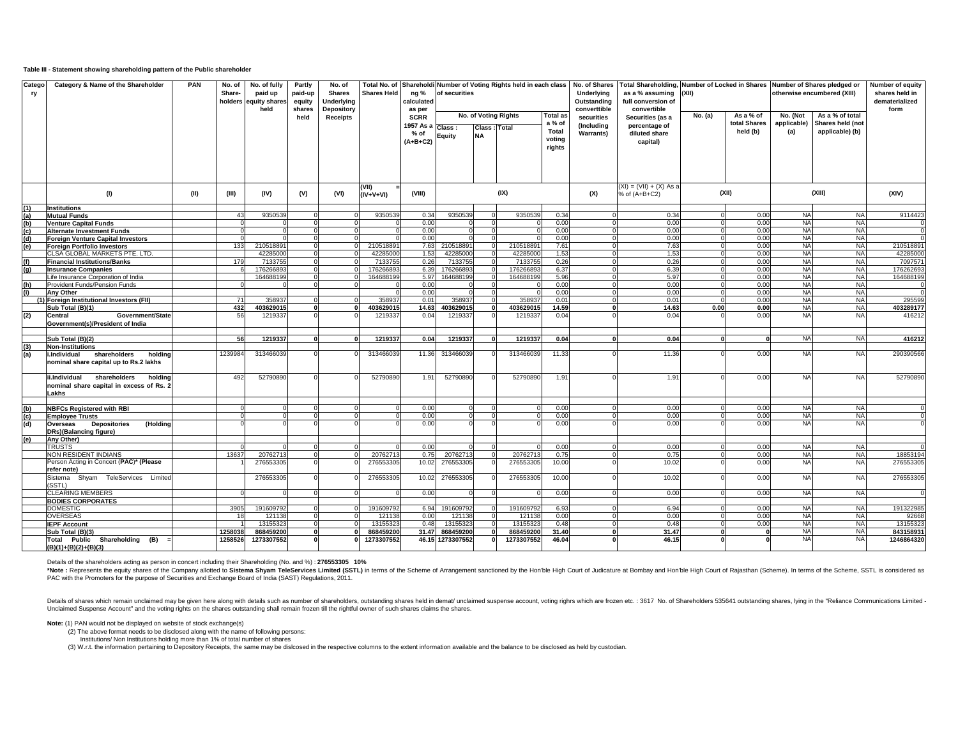#### **Table III - Statement showing shareholding pattern of the Public shareholder**

| Catego<br>ry      | Category & Name of the Shareholder          | <b>PAN</b> | No. of<br>Share- | No. of fully<br>paid up<br>holders equity shares<br>held | Partly<br>paid-up<br>equity<br>shares | No. of<br><b>Shares</b><br><b>Underlying</b><br>Depository | <b>Shares Held</b> | ng %<br>calculated<br>as per | Total No. of Shareholdi Number of Voting Rights held in each class<br>of securities |               |            | No. of Shares<br>Underlying<br>Outstanding<br>converttible | <b>Total Shareholding,</b><br>as a % assuming<br>full conversion of<br>convertible | (XII)                   | Number of Locked in Shares Number of Shares pledged or | otherwise encumbered (XIII) | Number of equity<br>shares held in<br>dematerialized<br>form |                        |                       |
|-------------------|---------------------------------------------|------------|------------------|----------------------------------------------------------|---------------------------------------|------------------------------------------------------------|--------------------|------------------------------|-------------------------------------------------------------------------------------|---------------|------------|------------------------------------------------------------|------------------------------------------------------------------------------------|-------------------------|--------------------------------------------------------|-----------------------------|--------------------------------------------------------------|------------------------|-----------------------|
|                   |                                             |            |                  |                                                          | held                                  | <b>Receipts</b>                                            |                    | <b>SCRR</b>                  | No. of Voting Rights<br><b>Total as</b>                                             |               |            |                                                            | securities                                                                         | Securities (as a        | No. (a)                                                | As a % of                   | No. (Not                                                     | As a % of total        |                       |
|                   |                                             |            |                  |                                                          |                                       |                                                            |                    | 1957 As a                    |                                                                                     |               |            | a % of                                                     | (Including                                                                         | percentage of           |                                                        | total Shares                | applicable)                                                  | Shares held (not       |                       |
|                   |                                             |            |                  |                                                          |                                       |                                                            |                    | % of                         | Class :                                                                             | Class : Total |            | Total                                                      | Warrants)                                                                          | diluted share           |                                                        | held (b)                    | (a)                                                          | applicable) (b)        |                       |
|                   |                                             |            |                  |                                                          |                                       |                                                            |                    | $(A+B+C2)$                   | Equity                                                                              | <b>NA</b>     |            | voting                                                     |                                                                                    | capital)                |                                                        |                             |                                                              |                        |                       |
|                   |                                             |            |                  |                                                          |                                       |                                                            |                    |                              |                                                                                     |               |            | rights                                                     |                                                                                    |                         |                                                        |                             |                                                              |                        |                       |
|                   |                                             |            |                  |                                                          |                                       |                                                            |                    |                              |                                                                                     |               |            |                                                            |                                                                                    |                         |                                                        |                             |                                                              |                        |                       |
|                   |                                             |            |                  |                                                          |                                       |                                                            |                    |                              |                                                                                     |               |            |                                                            |                                                                                    |                         |                                                        |                             |                                                              |                        |                       |
|                   |                                             |            |                  |                                                          |                                       |                                                            |                    |                              |                                                                                     |               |            |                                                            |                                                                                    |                         |                                                        |                             |                                                              |                        |                       |
|                   |                                             |            |                  |                                                          |                                       |                                                            |                    |                              |                                                                                     |               |            |                                                            |                                                                                    |                         |                                                        |                             |                                                              |                        |                       |
|                   |                                             |            |                  |                                                          |                                       |                                                            | (VII)              |                              |                                                                                     |               |            |                                                            |                                                                                    | (XI) = (VII) + (X) As a |                                                        |                             |                                                              |                        |                       |
|                   | (1)                                         | (II)       | (III)            | (IV)                                                     | (V)                                   | (VI)                                                       | (IV+V+VI)          | (VIII)                       |                                                                                     |               | (IX)       |                                                            | (X)                                                                                | % of (A+B+C2)           |                                                        | (XII)                       |                                                              | (XIII)                 | (XIV)                 |
|                   |                                             |            |                  |                                                          |                                       |                                                            |                    |                              |                                                                                     |               |            |                                                            |                                                                                    |                         |                                                        |                             |                                                              |                        |                       |
| (1)               | <b>Institutions</b><br><b>Mutual Funds</b>  |            | 4 <sup>°</sup>   | 9350539                                                  | $\Omega$                              |                                                            | 9350539            | 0.34                         | 9350539                                                                             |               | 9350539    | 0.34                                                       |                                                                                    | 0.34                    |                                                        | 0.00                        | <b>NA</b>                                                    | <b>NA</b>              | 9114423               |
| (a)<br>(b)<br>(c) | <b>Venture Capital Funds</b>                |            |                  |                                                          |                                       |                                                            |                    | 0.00                         |                                                                                     |               |            | 0.00                                                       |                                                                                    | 0.00                    |                                                        | 0.00                        | <b>NA</b>                                                    | <b>NA</b>              |                       |
|                   | <b>Alternate Investment Funds</b>           |            |                  |                                                          |                                       |                                                            |                    | 0.00                         |                                                                                     |               |            | 0.00                                                       |                                                                                    | 0.00                    |                                                        | 0.00                        | <b>NA</b>                                                    | <b>NA</b>              |                       |
| (d)               | <b>Foreign Venture Capital Investors</b>    |            |                  |                                                          |                                       |                                                            |                    | 0.00                         |                                                                                     |               |            | 0.00                                                       |                                                                                    | 0.00                    |                                                        | 0.00                        | <b>NA</b>                                                    | <b>NA</b>              |                       |
| (e)               | <b>Foreign Portfolio Investors</b>          |            | 133              | 210518891                                                |                                       |                                                            | 210518891          | 7.63                         | 210518891                                                                           |               | 210518891  | 7.61                                                       |                                                                                    | 7.63                    |                                                        | 0.00                        | <b>NA</b>                                                    | <b>NA</b>              | 210518891             |
|                   | CLSA GLOBAL MARKETS PTE. LTD.               |            |                  | 42285000                                                 |                                       |                                                            | 42285000           | 1.53                         | 42285000                                                                            |               | 42285000   | 1.53                                                       |                                                                                    | 1.53                    |                                                        | 0.00                        | <b>NA</b>                                                    | <b>NA</b>              | 4228500               |
| (f)               | <b>Financial Institutions/Banks</b>         |            | 179              | 7133755                                                  |                                       |                                                            | 7133755            | 0.26                         | 7133755                                                                             |               | 7133755    | 0.26                                                       |                                                                                    | 0.26                    |                                                        | 0.00                        | <b>NA</b>                                                    | <b>NA</b>              | 709757                |
| (g)               | <b>Insurance Companies</b>                  |            |                  | 176266893                                                | $\Omega$                              |                                                            | 17626689           | 6.39                         | 17626689                                                                            |               | 176266893  | 6.37                                                       |                                                                                    | 6.39                    |                                                        | 0.00                        | <b>NA</b>                                                    | <b>NA</b>              | 17626269              |
|                   | Life Insurance Corporation of India         |            |                  | 164688199                                                |                                       |                                                            | 164688199          | 5.97                         | 164688199                                                                           |               | 164688199  | 5.96                                                       |                                                                                    | 5.97                    |                                                        | 0.00                        | <b>NA</b>                                                    | <b>NA</b>              | 16468819              |
| (h)               | <b>Provident Funds/Pension Funds</b>        |            |                  |                                                          |                                       |                                                            |                    | 0.00                         |                                                                                     |               |            | 0.00                                                       |                                                                                    | 0.00                    |                                                        | 0.00                        | <b>NA</b>                                                    | <b>NA</b>              |                       |
| (i)               | Anv Other                                   |            |                  |                                                          |                                       |                                                            |                    | 0.00                         |                                                                                     |               |            | 0.00                                                       |                                                                                    | 0.00                    |                                                        | 0.00                        | <b>NA</b>                                                    | <b>NA</b>              |                       |
|                   | (1) Foreign Institutional Investors (FII)   |            |                  | 358937                                                   |                                       |                                                            | 358937             | 0.01                         | 358937                                                                              |               | 358937     | 0.01                                                       |                                                                                    | 0.01                    |                                                        | 0.00                        | <b>NA</b>                                                    | <b>NA</b>              | 295599                |
|                   | Sub Total (B)(1)                            |            | 432              | 403629015                                                | $\Omega$                              |                                                            | 403629015          | 14.63                        | 403629015                                                                           |               | 403629015  | 14.59                                                      |                                                                                    | 14.63                   | 0.00                                                   | 0.00                        | NA                                                           | <b>NA</b>              | 403289177             |
| (2)               | <b>Central</b><br>Government/State          |            | 56               | 1219337                                                  |                                       |                                                            | 1219337            | 0.04                         | 1219337                                                                             |               | 1219337    | 0.04                                                       |                                                                                    | 0.04                    |                                                        | 0.00                        | <b>NA</b>                                                    | <b>NA</b>              | 416212                |
|                   | Government(s)/President of India            |            |                  |                                                          |                                       |                                                            |                    |                              |                                                                                     |               |            |                                                            |                                                                                    |                         |                                                        |                             |                                                              |                        |                       |
|                   |                                             |            |                  |                                                          |                                       |                                                            |                    |                              |                                                                                     |               |            |                                                            |                                                                                    |                         |                                                        |                             |                                                              |                        |                       |
|                   | Sub Total (B)(2)                            |            | 56               | 1219337                                                  | $\Omega$                              |                                                            | 1219337            | 0.04                         | 1219337                                                                             |               | 1219337    | 0.04                                                       |                                                                                    | 0.04                    |                                                        | n                           | NA.                                                          | <b>NA</b>              | 416212                |
|                   | <b>Non-Institutions</b>                     |            |                  |                                                          |                                       |                                                            |                    |                              |                                                                                     |               |            |                                                            |                                                                                    |                         |                                                        |                             |                                                              |                        |                       |
| $\frac{(3)}{(a)}$ | shareholders<br>i.Individual<br>holdina     |            | 1239984          | 313466039                                                |                                       |                                                            | 313466039          | 11.36                        | 313466039                                                                           |               | 313466039  | 11.33                                                      |                                                                                    | 11.36                   |                                                        | 0.00                        | <b>NA</b>                                                    | <b>NA</b>              | 290390566             |
|                   | nominal share capital up to Rs.2 lakhs      |            |                  |                                                          |                                       |                                                            |                    |                              |                                                                                     |               |            |                                                            |                                                                                    |                         |                                                        |                             |                                                              |                        |                       |
|                   |                                             |            |                  |                                                          |                                       |                                                            |                    |                              |                                                                                     |               |            |                                                            |                                                                                    |                         |                                                        |                             |                                                              |                        |                       |
|                   | shareholders<br>holding<br>ii.Individual    |            | 492              | 52790890                                                 |                                       |                                                            | 52790890           | 1.91                         | 52790890                                                                            |               | 52790890   | 1.91                                                       |                                                                                    | 1.91                    |                                                        | 0.00                        | <b>NA</b>                                                    | <b>NA</b>              | 52790890              |
|                   | nominal share capital in excess of Rs. 2    |            |                  |                                                          |                                       |                                                            |                    |                              |                                                                                     |               |            |                                                            |                                                                                    |                         |                                                        |                             |                                                              |                        |                       |
|                   | Lakhs                                       |            |                  |                                                          |                                       |                                                            |                    |                              |                                                                                     |               |            |                                                            |                                                                                    |                         |                                                        |                             |                                                              |                        |                       |
|                   |                                             |            |                  |                                                          |                                       |                                                            |                    |                              |                                                                                     |               |            |                                                            |                                                                                    |                         |                                                        |                             |                                                              |                        |                       |
| (b)               | <b>NBFCs Registered with RBI</b>            |            |                  |                                                          |                                       |                                                            |                    | 0.00                         |                                                                                     |               |            | 0.00                                                       |                                                                                    | 0.00                    |                                                        | 0.00                        | <b>NA</b>                                                    | <b>NA</b>              |                       |
| (c)               | <b>Employee Trusts</b>                      |            |                  |                                                          |                                       |                                                            |                    | 0.00                         |                                                                                     |               |            | 0.00                                                       |                                                                                    | 0.00                    |                                                        | 0.00                        | <b>NA</b>                                                    | <b>NA</b>              |                       |
| (d)               | <b>Depositories</b><br>(Holding<br>Overseas |            |                  |                                                          |                                       |                                                            |                    | 0.00                         |                                                                                     |               |            | 0.00                                                       |                                                                                    | 0.00                    |                                                        | 0.00                        | <b>NA</b>                                                    | <b>NA</b>              |                       |
|                   | DRs)(Balancing figure)                      |            |                  |                                                          |                                       |                                                            |                    |                              |                                                                                     |               |            |                                                            |                                                                                    |                         |                                                        |                             |                                                              |                        |                       |
| (e)               | Any Other)                                  |            |                  |                                                          |                                       |                                                            |                    |                              |                                                                                     |               |            |                                                            |                                                                                    |                         |                                                        |                             |                                                              |                        |                       |
|                   | <b>TRUSTS</b>                               |            |                  |                                                          |                                       |                                                            |                    | 0.00                         |                                                                                     |               |            | 0.00                                                       |                                                                                    | 0.00                    |                                                        | 0.00                        | <b>NA</b>                                                    | <b>NA</b>              |                       |
|                   | <b>NON RESIDENT INDIANS</b>                 |            | 13637            | 20762713                                                 |                                       |                                                            | 20762713           | 0.75                         | 20762713                                                                            |               | 20762713   | 0.75                                                       |                                                                                    | 0.75                    |                                                        | 0.00                        | <b>NA</b>                                                    | <b>NA</b>              | 18853194              |
|                   | Person Acting in Concert (PAC)* (Please     |            |                  | 276553305                                                |                                       |                                                            | 276553305          | 10.02                        | 276553305                                                                           |               | 276553305  | 10.00                                                      |                                                                                    | 10.02                   |                                                        | 0.00                        | <b>NA</b>                                                    | <b>NA</b>              | 27655330              |
|                   | refer note)                                 |            |                  |                                                          |                                       |                                                            |                    |                              |                                                                                     |               |            |                                                            |                                                                                    |                         |                                                        |                             |                                                              |                        |                       |
|                   | Sistema Shyam TeleServices Limited          |            |                  | 276553305                                                |                                       |                                                            | 276553305          | 10.02                        | 276553305                                                                           |               | 276553305  | 10.00                                                      |                                                                                    | 10.02                   |                                                        | 0.00                        | NA                                                           | <b>NA</b>              | 276553305             |
|                   | (SSTL)                                      |            |                  |                                                          |                                       |                                                            |                    |                              |                                                                                     |               |            |                                                            |                                                                                    |                         |                                                        |                             |                                                              |                        |                       |
|                   | <b>CLEARING MEMBERS</b>                     |            |                  |                                                          |                                       |                                                            |                    | 0.00                         |                                                                                     |               |            | 0.00                                                       |                                                                                    | 0.00                    |                                                        | 0.00                        | <b>NA</b>                                                    | <b>NA</b>              |                       |
|                   | <b>BODIES CORPORATES</b>                    |            |                  |                                                          |                                       |                                                            |                    |                              |                                                                                     |               |            |                                                            |                                                                                    |                         |                                                        |                             |                                                              |                        |                       |
|                   | <b>DOMESTIC</b>                             |            | 3905             | 191609792                                                |                                       |                                                            | 191609792          | 6.94                         | 191609792                                                                           |               | 191609792  | 6.93                                                       |                                                                                    | 6.94                    |                                                        | 0.00                        | <b>NA</b>                                                    | <b>NA</b><br><b>NA</b> | 191322985             |
|                   | <b>OVERSEAS</b>                             |            |                  | 121138<br>13155323                                       | $\Omega$                              |                                                            | 121138             | 0.00                         | 121138                                                                              |               | 121138     | 0.00<br>0.48                                               |                                                                                    | 0.00                    |                                                        | 0.00                        | <b>NA</b>                                                    |                        | 9266                  |
|                   | <b>IEPF Account</b>                         |            |                  |                                                          |                                       |                                                            | 1315532            | 0.48                         | 1315532                                                                             |               | 13155323   |                                                            |                                                                                    | 0.48                    |                                                        | 0.00                        | <b>NA</b>                                                    | <b>NA</b>              | 13155323<br>843158931 |
|                   | Sub Total (B)(3)                            |            | 1258038          | 868459200                                                | O                                     | n                                                          | 868459200          | 31.47                        | 868459200                                                                           |               | 868459200  | 31.40                                                      |                                                                                    | 31.47                   |                                                        |                             | <b>NA</b>                                                    | <b>NA</b>              |                       |
|                   | Total Public Shareholding (B)               |            | 1258526          | 1273307552                                               |                                       |                                                            | 1273307552         | 46.15                        | 1273307552                                                                          |               | 1273307552 | 46.04                                                      |                                                                                    | 46.15                   |                                                        |                             | <b>NA</b>                                                    | <b>NA</b>              | 1246864320            |
|                   | $(B)(1)+(B)(2)+(B)(3)$                      |            |                  |                                                          |                                       |                                                            |                    |                              |                                                                                     |               |            |                                                            |                                                                                    |                         |                                                        |                             |                                                              |                        |                       |

Details of the shareholders acting as person in concert including their Shareholding (No. and %) : **276553305 10%**

\*Note : Represents the equity shares of the Company allotted to Sistema Shyam TeleServices Limited (SSTL) in terms of the Scheme of Arrangement sanctioned by the Hon'ble High Court of Judicature at Bombay and Hon'ble High PAC with the Promoters for the purpose of Securities and Exchange Board of India (SAST) Regulations, 2011.

Details of shares which remain unclaimed may be given here along with details such as number of shareholders, outstanding shares held in demat/ unclaimed suspense account, voting righrs which are frozen etc. : 3617 No. of Unclaimed Suspense Account" and the voting rights on the shares outstanding shall remain frozen till the rightful owner of such shares claims the shares.

**Note:** (1) PAN would not be displayed on website of stock exchange(s)

(2) The above format needs to be disclosed along with the name of following persons:

Institutions/ Non Institutions holding more than 1% of total number of shares

W.r.t. the information pertaining to Depository Receipts, the same may be dislcosed in the respective columns to the extent information available and the balance to be disclosed as held by custodian.<br>(3) W.r.t. the informa